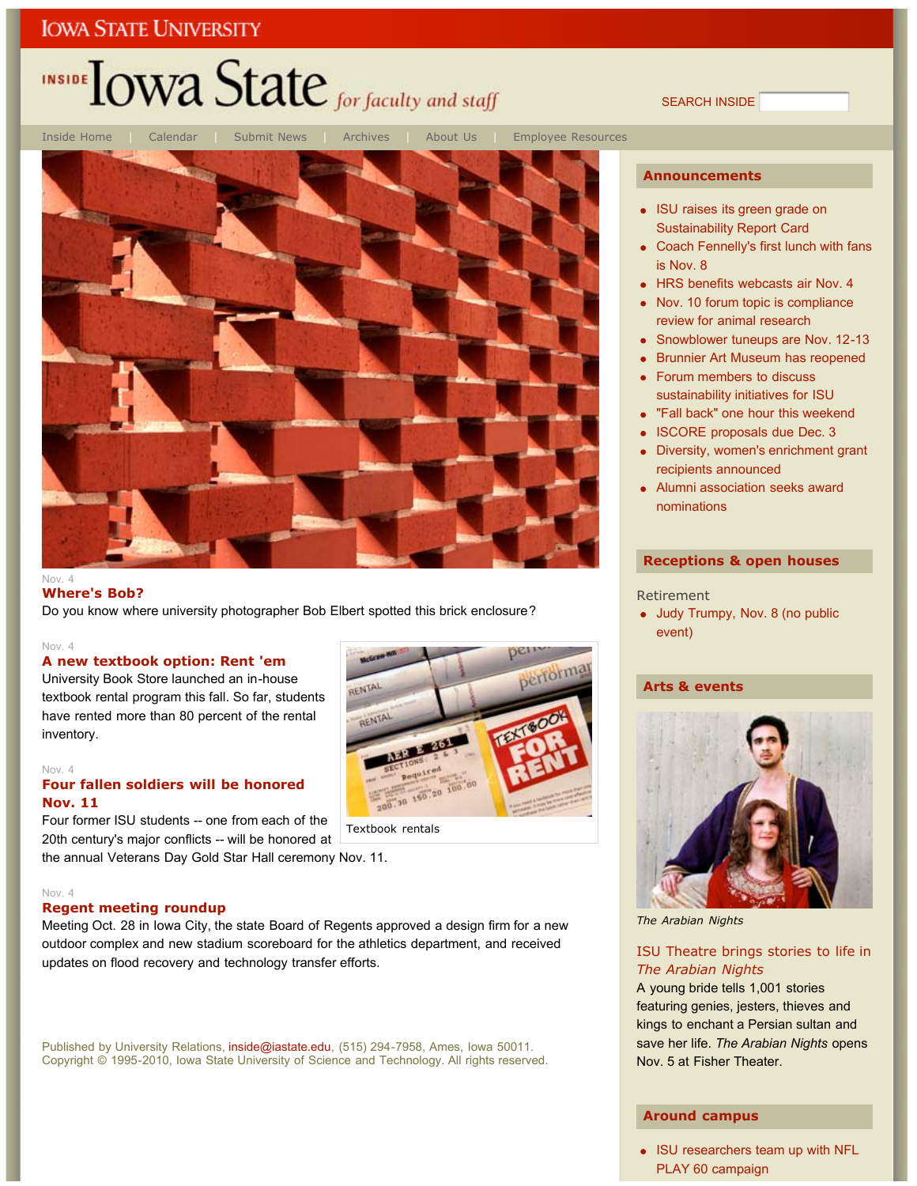# INSIDE LOWA State for faculty and staff

SEARCH INSIDE



### **Where's Bob?**

Do you know where university photographer Bob Elbert spotted this brick enclosure?

#### Nov. 4

#### **A new textbook option: Rent 'em**

University Book Store launched an in-house textbook rental program this fall. So far, students have rented more than 80 percent of the rental inventory.

#### Nov. 4

### **Four fallen soldiers will be honored Nov. 11**

Four former ISU students -- one from each of the 20th century's major conflicts -- will be honored at

#### Nov. 4

### **Regent meeting roundup**

Meeting Oct. 28 in Iowa City, the state Board of Regents approved a design firm for a new outdoor complex and new stadium scoreboard for the athletics department, and received updates on flood recovery and technology transfer efforts.

Published by University Relations, inside@iastate.edu, (515) 294-7958, Ames, Iowa 50011. Copyright © 1995-2010, Iowa State University of Science and Technology. All rights reserved.

#### **Announcements**

- ISU raises its green grade on Sustainability Report Card
- Coach Fennelly's first lunch with fans is Nov. 8
- HRS benefits webcasts air Nov. 4
- Nov. 10 forum topic is compliance review for animal research
- Snowblower tuneups are Nov. 12-13
- Brunnier Art Museum has reopened
- Forum members to discuss sustainability initiatives for ISU
- "Fall back" one hour this weekend
- ISCORE proposals due Dec. 3
- Diversity, women's enrichment grant recipients announced
- Alumni association seeks award nominations

#### **Receptions & open houses**

#### Retirement

• Judy Trumpy, Nov. 8 (no public event)

### **Arts & events**



*The Arabian Nights*

### ISU Theatre brings stories to life in *The Arabian Nights*

A young bride tells 1,001 stories featuring genies, jesters, thieves and kings to enchant a Persian sultan and save her life. *The Arabian Nights* opens Nov. 5 at Fisher Theater.

### **Around campus**

• ISU researchers team up with NFL PLAY 60 campaign

erform 200.30 160.20 100

## Textbook rentals the annual Veterans Day Gold Star Hall ceremony Nov. 11.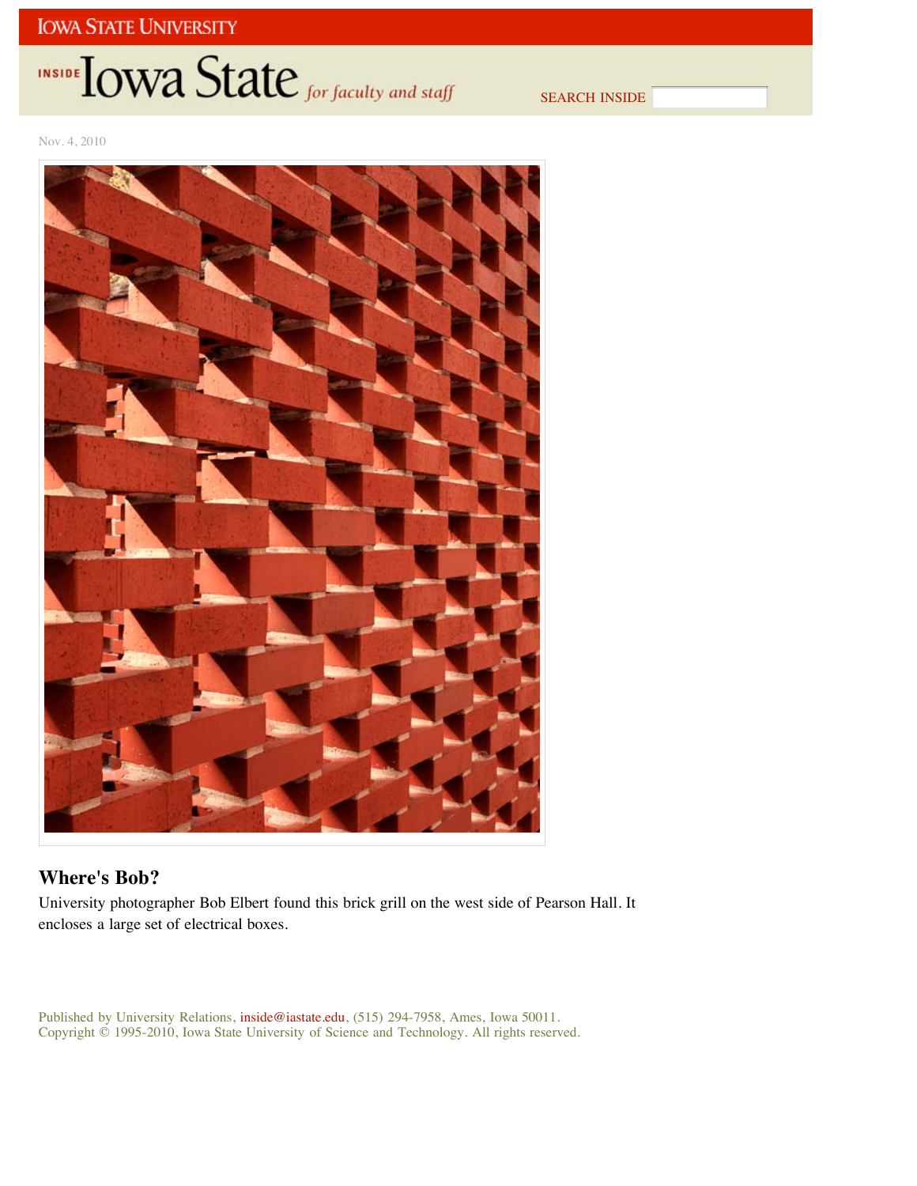# INSIDE TOWA State for faculty and staff

SEARCH INSIDE

Nov. 4, 2010



## **Where's Bob?**

University photographer Bob Elbert found this brick grill on the west side of Pearson Hall. It encloses a large set of electrical boxes.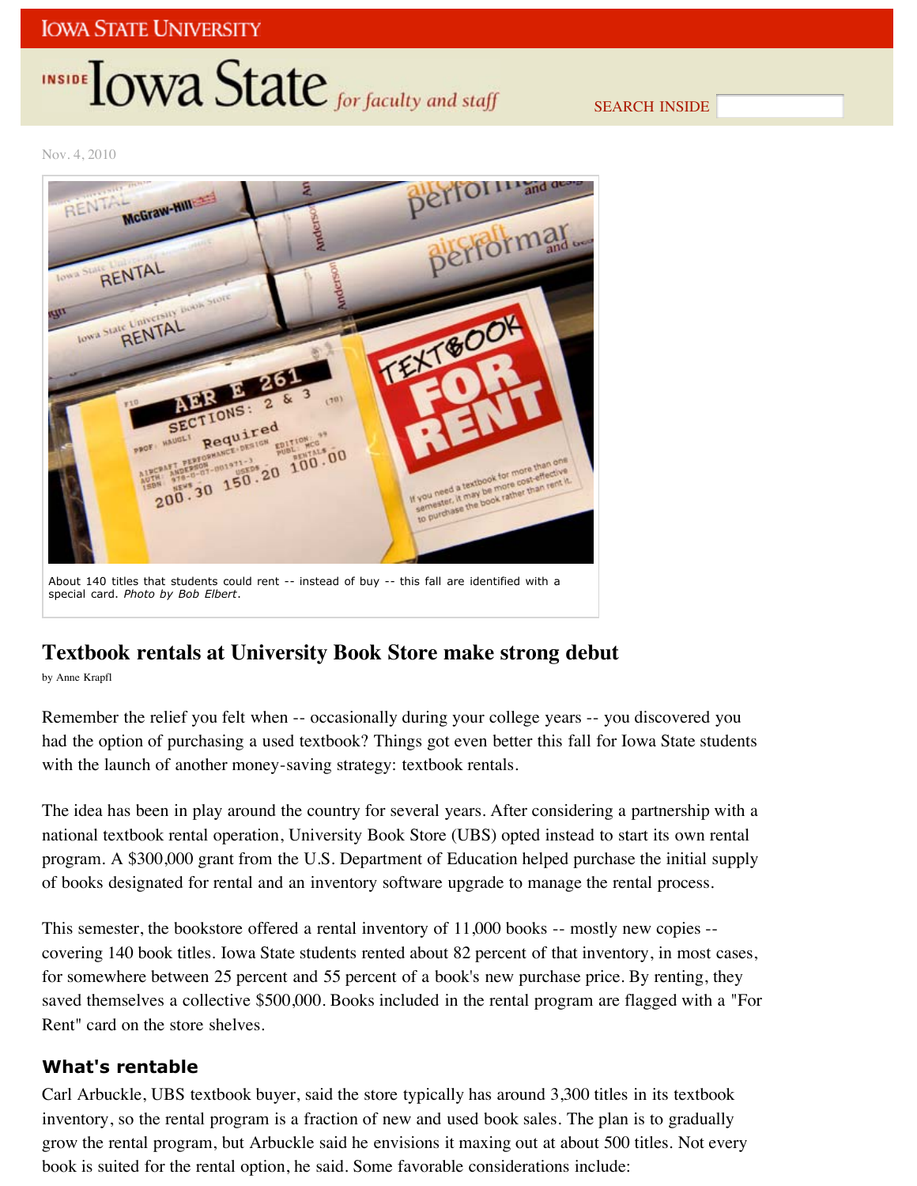# INSIDE **LOWA State** for faculty and staff

SEARCH INSIDE

Nov. 4, 2010



## **Textbook rentals at University Book Store make strong debut**

by Anne Krapfl

Remember the relief you felt when -- occasionally during your college years -- you discovered you had the option of purchasing a used textbook? Things got even better this fall for Iowa State students with the launch of another money-saving strategy: textbook rentals.

The idea has been in play around the country for several years. After considering a partnership with a national textbook rental operation, University Book Store (UBS) opted instead to start its own rental program. A \$300,000 grant from the U.S. Department of Education helped purchase the initial supply of books designated for rental and an inventory software upgrade to manage the rental process.

This semester, the bookstore offered a rental inventory of 11,000 books -- mostly new copies - covering 140 book titles. Iowa State students rented about 82 percent of that inventory, in most cases, for somewhere between 25 percent and 55 percent of a book's new purchase price. By renting, they saved themselves a collective \$500,000. Books included in the rental program are flagged with a "For Rent" card on the store shelves.

## **What's rentable**

Carl Arbuckle, UBS textbook buyer, said the store typically has around 3,300 titles in its textbook inventory, so the rental program is a fraction of new and used book sales. The plan is to gradually grow the rental program, but Arbuckle said he envisions it maxing out at about 500 titles. Not every book is suited for the rental option, he said. Some favorable considerations include: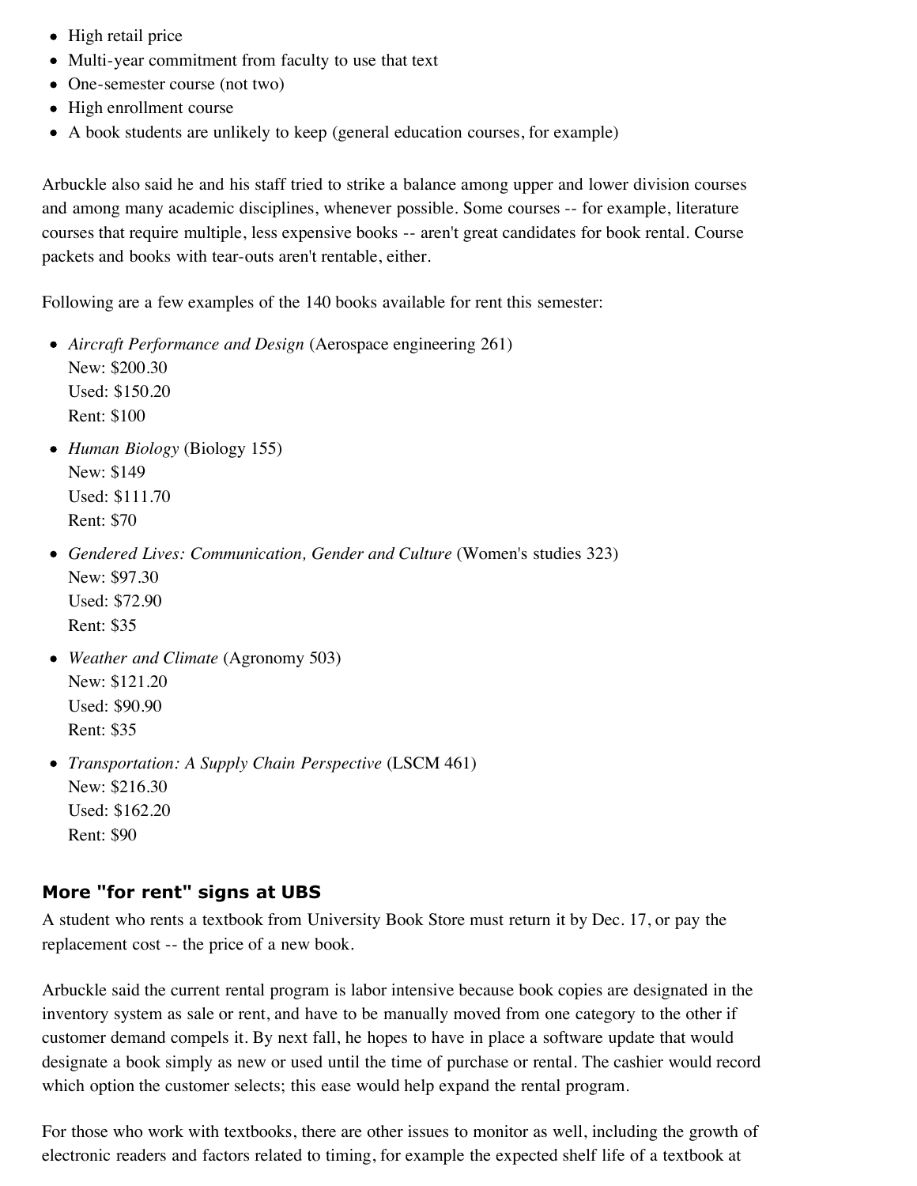- High retail price
- Multi-year commitment from faculty to use that text
- One-semester course (not two)
- High enrollment course
- A book students are unlikely to keep (general education courses, for example)

Arbuckle also said he and his staff tried to strike a balance among upper and lower division courses and among many academic disciplines, whenever possible. Some courses -- for example, literature courses that require multiple, less expensive books -- aren't great candidates for book rental. Course packets and books with tear-outs aren't rentable, either.

Following are a few examples of the 140 books available for rent this semester:

- *Aircraft Performance and Design* (Aerospace engineering 261) New: \$200.30 Used: \$150.20 Rent: \$100
- *Human Biology* (Biology 155) New: \$149 Used: \$111.70 Rent: \$70
- *Gendered Lives: Communication, Gender and Culture* (Women's studies 323) New: \$97.30 Used: \$72.90 Rent: \$35
- *Weather and Climate* (Agronomy 503) New: \$121.20 Used: \$90.90 Rent: \$35
- *Transportation: A Supply Chain Perspective* (LSCM 461) New: \$216.30 Used: \$162.20 Rent: \$90

## **More "for rent" signs at UBS**

A student who rents a textbook from University Book Store must return it by Dec. 17, or pay the replacement cost -- the price of a new book.

Arbuckle said the current rental program is labor intensive because book copies are designated in the inventory system as sale or rent, and have to be manually moved from one category to the other if customer demand compels it. By next fall, he hopes to have in place a software update that would designate a book simply as new or used until the time of purchase or rental. The cashier would record which option the customer selects; this ease would help expand the rental program.

For those who work with textbooks, there are other issues to monitor as well, including the growth of electronic readers and factors related to timing, for example the expected shelf life of a textbook at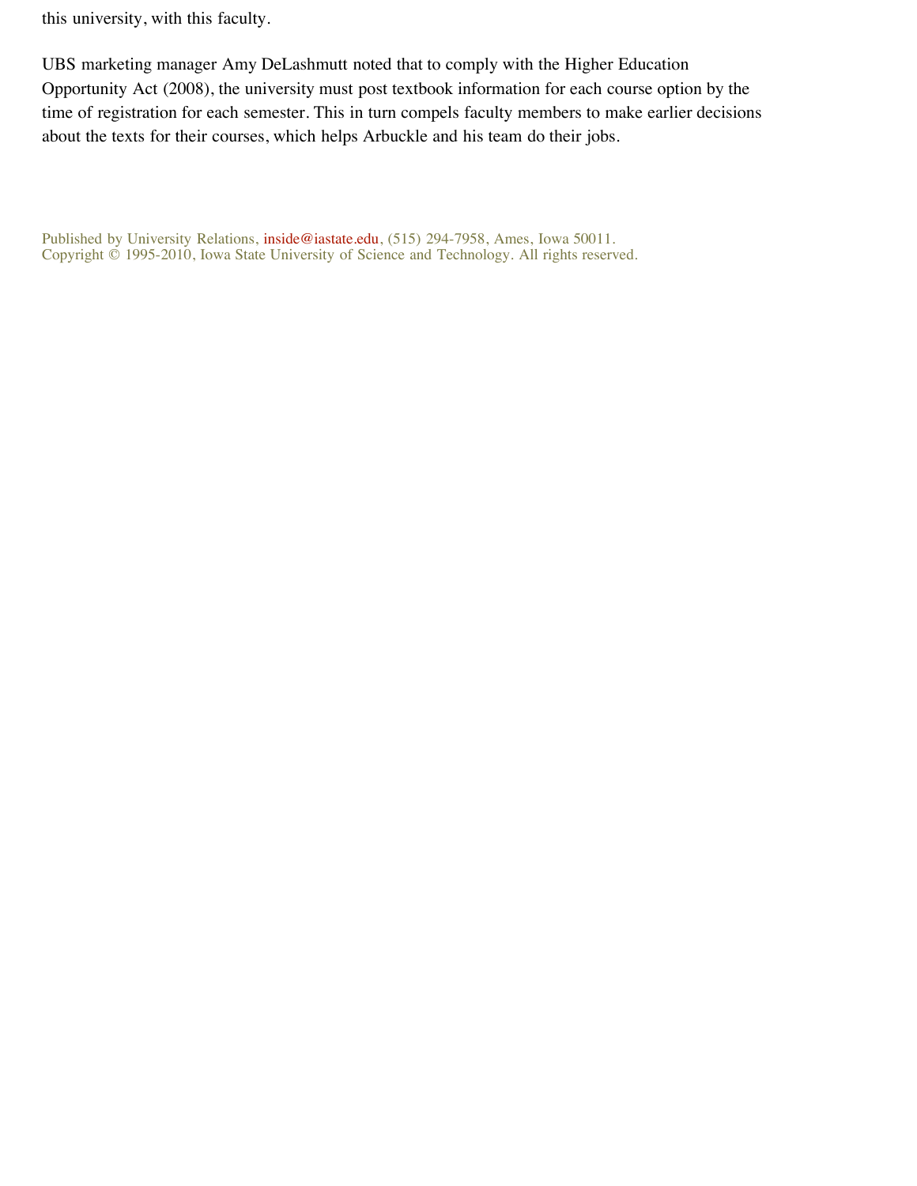this university, with this faculty.

UBS marketing manager Amy DeLashmutt noted that to comply with the Higher Education Opportunity Act (2008), the university must post textbook information for each course option by the time of registration for each semester. This in turn compels faculty members to make earlier decisions about the texts for their courses, which helps Arbuckle and his team do their jobs.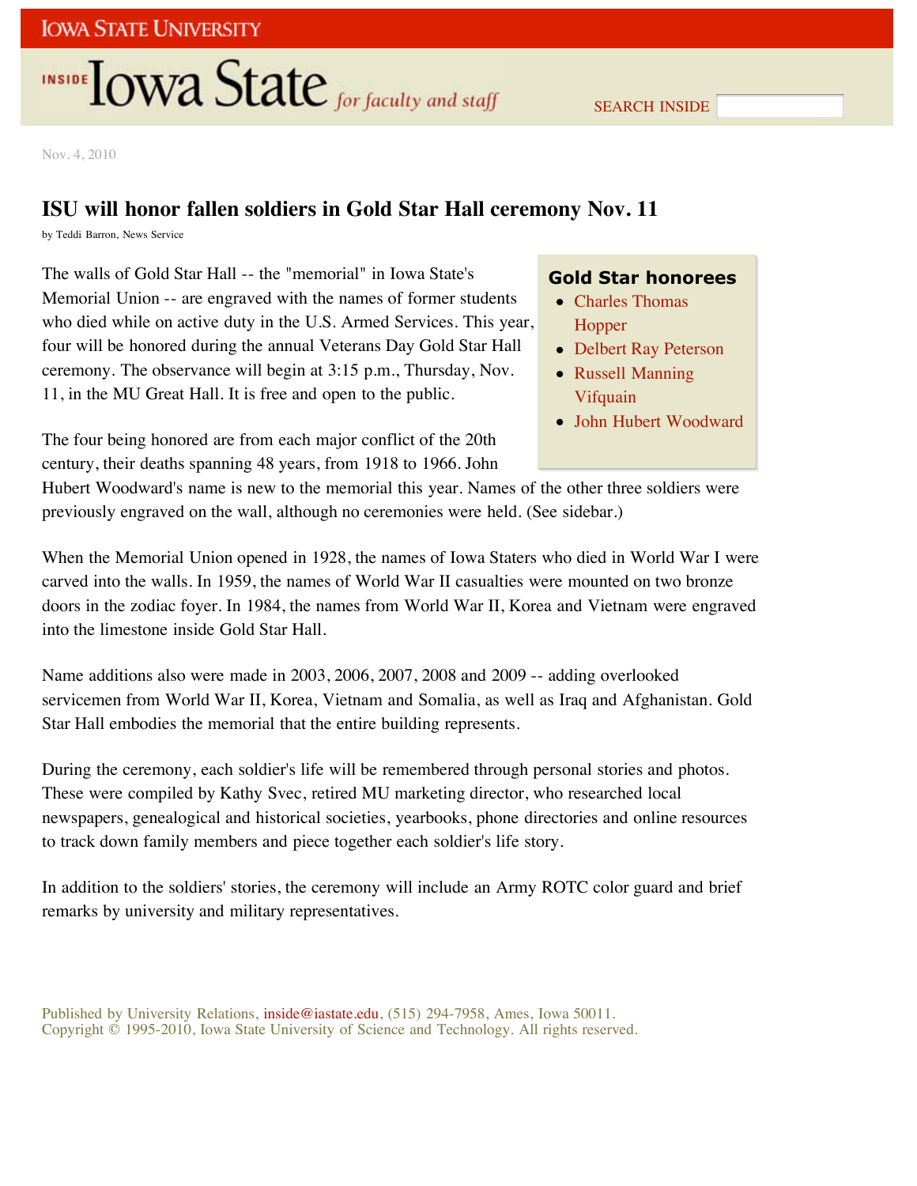# **INSIDE TOWA State** for faculty and staff

SEARCH INSIDE

Nov. 4, 2010

## **ISU will honor fallen soldiers in Gold Star Hall ceremony Nov. 11**

by Teddi Barron, News Service

The walls of Gold Star Hall -- the "memorial" in Iowa State's Memorial Union -- are engraved with the names of former students who died while on active duty in the U.S. Armed Services. This year, four will be honored during the annual Veterans Day Gold Star Hall ceremony. The observance will begin at 3:15 p.m., Thursday, Nov. 11, in the MU Great Hall. It is free and open to the public.

The four being honored are from each major conflict of the 20th century, their deaths spanning 48 years, from 1918 to 1966. John

## **Gold Star honorees**

- Charles Thomas Hopper
- Delbert Ray Peterson
- Russell Manning Vifquain
- John Hubert Woodward

Hubert Woodward's name is new to the memorial this year. Names of the other three soldiers were previously engraved on the wall, although no ceremonies were held. (See sidebar.)

When the Memorial Union opened in 1928, the names of Iowa Staters who died in World War I were carved into the walls. In 1959, the names of World War II casualties were mounted on two bronze doors in the zodiac foyer. In 1984, the names from World War II, Korea and Vietnam were engraved into the limestone inside Gold Star Hall.

Name additions also were made in 2003, 2006, 2007, 2008 and 2009 -- adding overlooked servicemen from World War II, Korea, Vietnam and Somalia, as well as Iraq and Afghanistan. Gold Star Hall embodies the memorial that the entire building represents.

During the ceremony, each soldier's life will be remembered through personal stories and photos. These were compiled by Kathy Svec, retired MU marketing director, who researched local newspapers, genealogical and historical societies, yearbooks, phone directories and online resources to track down family members and piece together each soldier's life story.

In addition to the soldiers' stories, the ceremony will include an Army ROTC color guard and brief remarks by university and military representatives.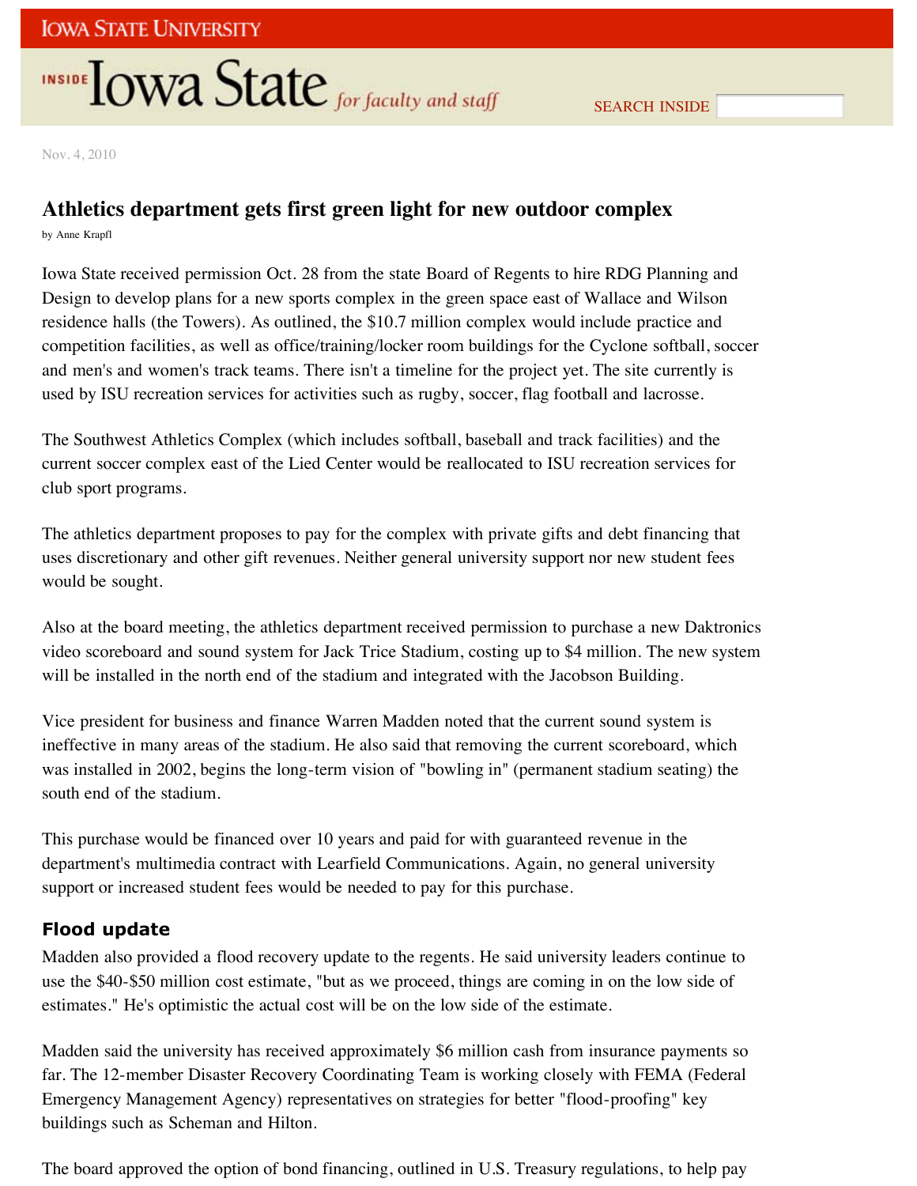# **INSIDE OWA State** for faculty and staff

Nov. 4, 2010

## **Athletics department gets first green light for new outdoor complex**

by Anne Krapfl

Iowa State received permission Oct. 28 from the state Board of Regents to hire RDG Planning and Design to develop plans for a new sports complex in the green space east of Wallace and Wilson residence halls (the Towers). As outlined, the \$10.7 million complex would include practice and competition facilities, as well as office/training/locker room buildings for the Cyclone softball, soccer and men's and women's track teams. There isn't a timeline for the project yet. The site currently is used by ISU recreation services for activities such as rugby, soccer, flag football and lacrosse.

The Southwest Athletics Complex (which includes softball, baseball and track facilities) and the current soccer complex east of the Lied Center would be reallocated to ISU recreation services for club sport programs.

The athletics department proposes to pay for the complex with private gifts and debt financing that uses discretionary and other gift revenues. Neither general university support nor new student fees would be sought.

Also at the board meeting, the athletics department received permission to purchase a new Daktronics video scoreboard and sound system for Jack Trice Stadium, costing up to \$4 million. The new system will be installed in the north end of the stadium and integrated with the Jacobson Building.

Vice president for business and finance Warren Madden noted that the current sound system is ineffective in many areas of the stadium. He also said that removing the current scoreboard, which was installed in 2002, begins the long-term vision of "bowling in" (permanent stadium seating) the south end of the stadium.

This purchase would be financed over 10 years and paid for with guaranteed revenue in the department's multimedia contract with Learfield Communications. Again, no general university support or increased student fees would be needed to pay for this purchase.

## **Flood update**

Madden also provided a flood recovery update to the regents. He said university leaders continue to use the \$40-\$50 million cost estimate, "but as we proceed, things are coming in on the low side of estimates." He's optimistic the actual cost will be on the low side of the estimate.

Madden said the university has received approximately \$6 million cash from insurance payments so far. The 12-member Disaster Recovery Coordinating Team is working closely with FEMA (Federal Emergency Management Agency) representatives on strategies for better "flood-proofing" key buildings such as Scheman and Hilton.

The board approved the option of bond financing, outlined in U.S. Treasury regulations, to help pay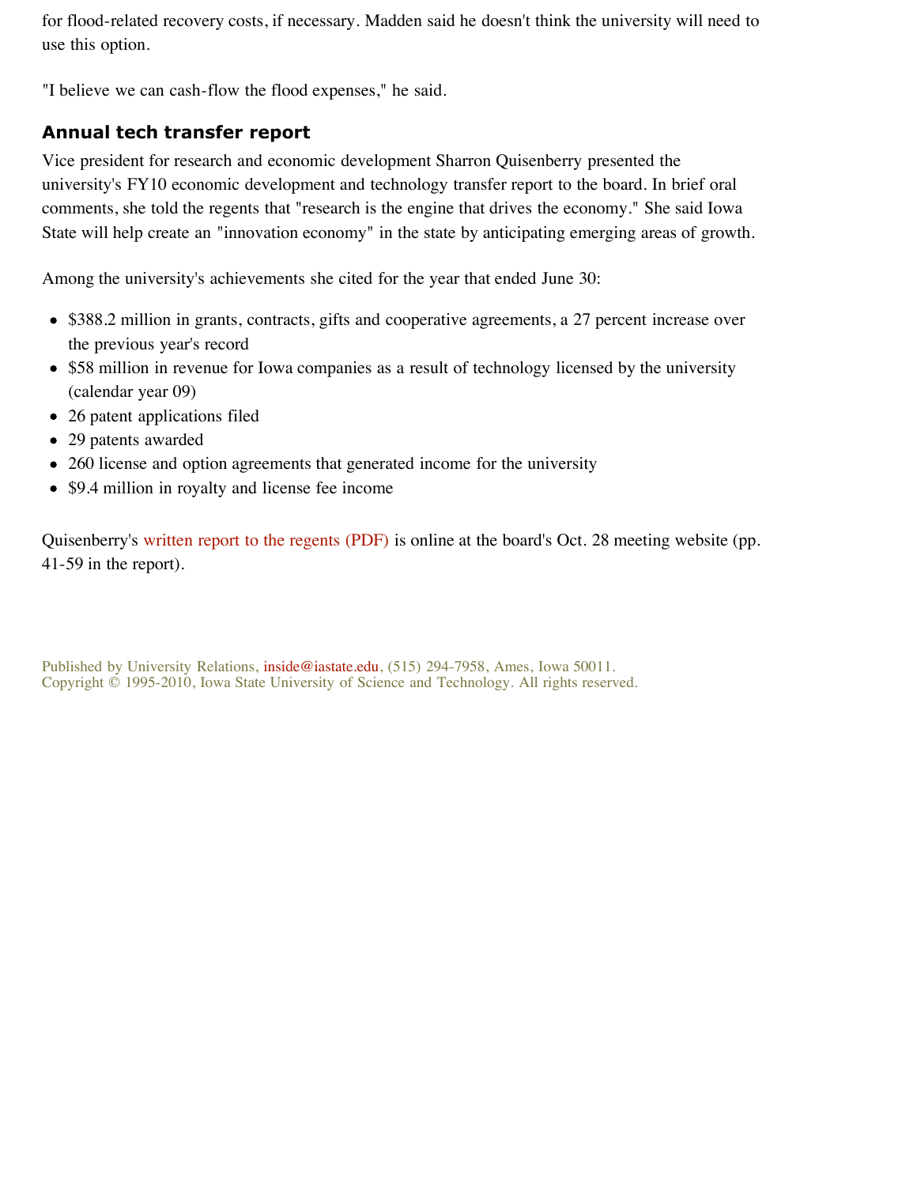for flood-related recovery costs, if necessary. Madden said he doesn't think the university will need to use this option.

"I believe we can cash-flow the flood expenses," he said.

## **Annual tech transfer report**

Vice president for research and economic development Sharron Quisenberry presented the university's FY10 economic development and technology transfer report to the board. In brief oral comments, she told the regents that "research is the engine that drives the economy." She said Iowa State will help create an "innovation economy" in the state by anticipating emerging areas of growth.

Among the university's achievements she cited for the year that ended June 30:

- \$388.2 million in grants, contracts, gifts and cooperative agreements, a 27 percent increase over the previous year's record
- \$58 million in revenue for Iowa companies as a result of technology licensed by the university (calendar year 09)
- 26 patent applications filed
- 29 patents awarded
- 260 license and option agreements that generated income for the university
- \$9.4 million in royalty and license fee income

Quisenberry's written report to the regents (PDF) is online at the board's Oct. 28 meeting website (pp. 41-59 in the report).